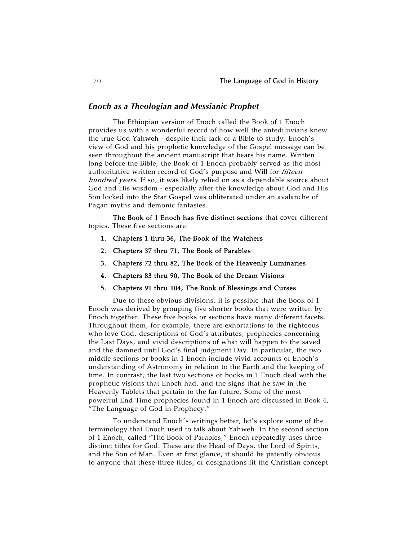#### *Enoch as a Theologian and Messianic Prophet*

The Ethiopian version of Enoch called the Book of 1 Enoch provides us with a wonderful record of how well the antediluvians knew the true God Yahweh - despite their lack of a Bible to study. Enoch's view of God and his prophetic knowledge of the Gospel message can be seen throughout the ancient manuscript that bears his name. Written long before the Bible, the Book of 1 Enoch probably served as the most authoritative written record of God's purpose and Will for fifteen hundred years. If so, it was likely relied on as a dependable source about God and His wisdom - especially after the knowledge about God and His Son locked into the Star Gospel was obliterated under an avalanche of Pagan myths and demonic fantasies.

The Book of 1 Enoch has five distinct sections that cover different topics. These five sections are:

- 1. Chapters 1 thru 36, The Book of the Watchers
- 2. Chapters 37 thru 71, The Book of Parables
- 3. Chapters 72 thru 82, The Book of the Heavenly Luminaries
- 4. Chapters 83 thru 90, The Book of the Dream Visions
- 5. Chapters 91 thru 104, The Book of Blessings and Curses

Due to these obvious divisions, it is possible that the Book of 1 Enoch was derived by grouping five shorter books that were written by Enoch together. These five books or sections have many different facets. Throughout them, for example, there are exhortations to the righteous who love God, descriptions of God's attributes, prophecies concerning the Last Days, and vivid descriptions of what will happen to the saved and the damned until God's final Judgment Day. In particular, the two middle sections or books in 1 Enoch include vivid accounts of Enoch's understanding of Astronomy in relation to the Earth and the keeping of time. In contrast, the last two sections or books in 1 Enoch deal with the prophetic visions that Enoch had, and the signs that he saw in the Heavenly Tablets that pertain to the far future. Some of the most powerful End Time prophecies found in 1 Enoch are discussed in Book 4, "The Language of God in Prophecy."

To understand Enoch's writings better, let's explore some of the terminology that Enoch used to talk about Yahweh. In the second section of 1 Enoch, called "The Book of Parables," Enoch repeatedly uses three distinct titles for God. These are the Head of Days, the Lord of Spirits, and the Son of Man. Even at first glance, it should be patently obvious to anyone that these three titles, or designations fit the Christian concept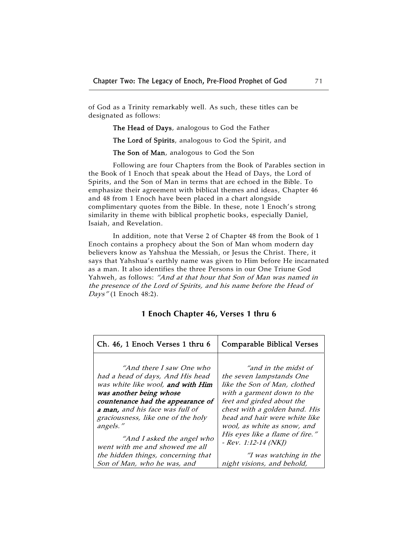of God as a Trinity remarkably well. As such, these titles can be designated as follows:

The Head of Days, analogous to God the Father

The Lord of Spirits, analogous to God the Spirit, and

The Son of Man, analogous to God the Son

Following are four Chapters from the Book of Parables section in the Book of 1 Enoch that speak about the Head of Days, the Lord of Spirits, and the Son of Man in terms that are echoed in the Bible. To emphasize their agreement with biblical themes and ideas, Chapter 46 and 48 from 1 Enoch have been placed in a chart alongside complimentary quotes from the Bible. In these, note 1 Enoch's strong similarity in theme with biblical prophetic books, especially Daniel, Isaiah, and Revelation.

In addition, note that Verse 2 of Chapter 48 from the Book of 1 Enoch contains a prophecy about the Son of Man whom modern day believers know as Yahshua the Messiah, or Jesus the Christ. There, it says that Yahshua's earthly name was given to Him before He incarnated as a man. It also identifies the three Persons in our One Triune God Yahweh, as follows: "And at that hour that Son of Man was named in the presence of the Lord of Spirits, and his name before the Head of Days" (1 Enoch 48:2).

| Ch. 46, 1 Enoch Verses 1 thru 6    | <b>Comparable Biblical Verses</b> |
|------------------------------------|-----------------------------------|
| "And there I saw One who           | "and in the midst of              |
| had a head of days, And His head   | the seven lampstands One          |
| was white like wool, and with Him  | like the Son of Man, clothed      |
| was another being whose            | with a garment down to the        |
| countenance had the appearance of  | feet and girded about the         |
| a man, and his face was full of    | chest with a golden band. His     |
| graciousness, like one of the holy | head and hair were white like     |
| angels."                           | wool, as white as snow, and       |
| "And I asked the angel who         | His eyes like a flame of fire."   |
| went with me and showed me all     | $-$ Rev. 1:12-14 (NKJ)            |
| the hidden things, concerning that | <i>"I was watching in the</i>     |
| Son of Man, who he was, and        | night visions, and behold,        |

### **1 Enoch Chapter 46, Verses 1 thru 6**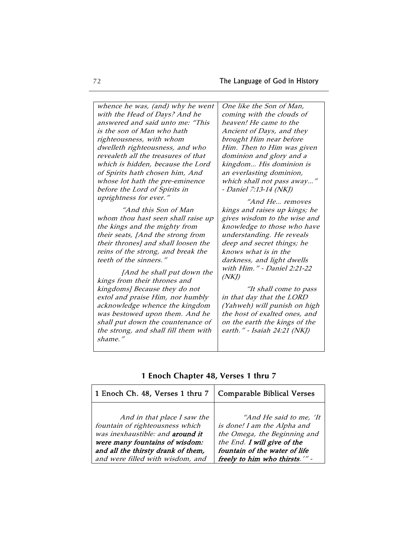whence he was, (and) why he went with the Head of Days? And he answered and said unto me: "This is the son of Man who hath righteousness, with whom dwelleth righteousness, and who revealeth all the treasures of that which is hidden, because the Lord of Spirits hath chosen him, And whose lot hath the pre-eminence before the Lord of Spirits in uprightness for ever." "And this Son of Man whom thou hast seen shall raise up the kings and the mighty from

their seats, [And the strong from their thrones] and shall loosen the reins of the strong, and break the teeth of the sinners."

[And he shall put down the kings from their thrones and kingdoms] Because they do not extol and praise Him, nor humbly acknowledge whence the kingdom was bestowed upon them. And he shall put down the countenance of the strong, and shall fill them with shame."

One like the Son of Man, coming with the clouds of heaven! He came to the Ancient of Days, and they brought Him near before Him. Then to Him was given dominion and glory and a kingdom… His dominion is an everlasting dominion, which shall not pass away…" - Daniel 7:13-14 (NKJ)

"And He… removes kings and raises up kings; he gives wisdom to the wise and knowledge to those who have understanding. He reveals deep and secret things; he knows what is in the darkness, and light dwells with Him." - Daniel 2:21-22  $(NK)$ 

"It shall come to pass in that day that the LORD (Yahweh) will punish on high the host of exalted ones, and on the earth the kings of the earth." - Isaiah 24:21 (NKJ)

| 1 Enoch Ch. 48, Verses 1 thru 7    | <b>Comparable Biblical Verses</b> |
|------------------------------------|-----------------------------------|
| And in that place I saw the        | "And He said to me, 'It           |
| fountain of righteousness which    | is done! I am the Alpha and       |
| was inexhaustible: and around it   | the Omega, the Beginning and      |
| were many fountains of wisdom:     | the End. I will give of the       |
| and all the thirsty drank of them, | fountain of the water of life     |
| and were filled with wisdom, and   | freely to him who thirsts.'" -    |

# **1 Enoch Chapter 48, Verses 1 thru 7**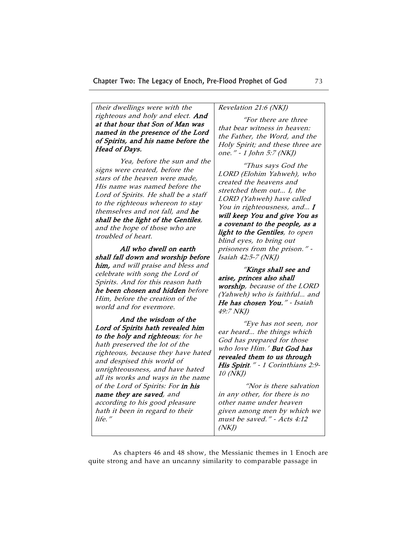their dwellings were with the righteous and holy and elect. And at that hour that Son of Man was named in the presence of the Lord of Spirits, and his name before the Head of Days.

Yea, before the sun and the signs were created, before the stars of the heaven were made, His name was named before the Lord of Spirits. He shall be a staff to the righteous whereon to stay themselves and not fall, and he shall be the light of the Gentiles, and the hope of those who are troubled of heart.

All who dwell on earth shall fall down and worship before him, and will praise and bless and celebrate with song the Lord of Spirits. And for this reason hath he been chosen and hidden before Him, before the creation of the world and for evermore.

And the wisdom of the Lord of Spirits hath revealed him to the holy and righteous; for he hath preserved the lot of the righteous, because they have hated and despised this world of unrighteousness, and have hated all its works and ways in the name of the Lord of Spirits: For in his name they are saved, and according to his good pleasure hath it been in regard to their life."

# Revelation 21:6 (NKJ)

"For there are three that bear witness in heaven: the Father, the Word, and the Holy Spirit; and these three are one." - 1 John 5:7 (NKJ)

"Thus says God the LORD (Elohim Yahweh), who created the heavens and stretched them out… I, the LORD (Yahweh) have called You in righteousness, and... I will keep You and give You as a covenant to the people, as a light to the Gentiles, to open blind eyes, to bring out prisoners from the prison." - Isaiah 42:5-7 (NKJ)

"Kings shall see and arise, princes also shall worship, because of the LORD (Yahweh) who is faithful… and He has chosen You." - Isaiah 49:7 NKJ)

"Eye has not seen, nor ear heard… the things which God has prepared for those who love Him.' But God has revealed them to us through His Spirit." - 1 Corinthians 2:9- 10 (NKJ)

 "Nor is there salvation in any other, for there is no other name under heaven given among men by which we must be saved." - Acts 4:12  $(NK)$ 

As chapters 46 and 48 show, the Messianic themes in 1 Enoch are quite strong and have an uncanny similarity to comparable passage in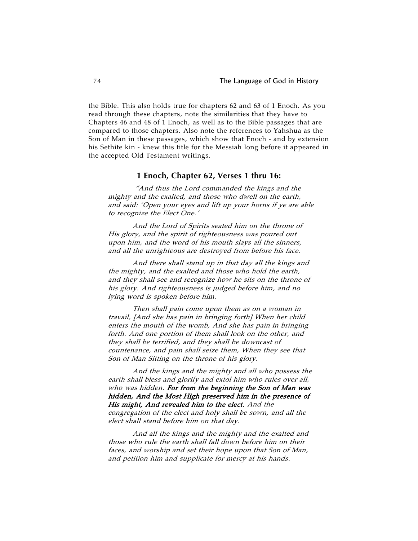the Bible. This also holds true for chapters 62 and 63 of 1 Enoch. As you read through these chapters, note the similarities that they have to Chapters 46 and 48 of 1 Enoch, as well as to the Bible passages that are compared to those chapters. Also note the references to Yahshua as the Son of Man in these passages, which show that Enoch - and by extension his Sethite kin - knew this title for the Messiah long before it appeared in the accepted Old Testament writings.

#### **1 Enoch, Chapter 62, Verses 1 thru 16:**

 "And thus the Lord commanded the kings and the mighty and the exalted, and those who dwell on the earth, and said: 'Open your eyes and lift up your horns if ye are able to recognize the Elect One.'

And the Lord of Spirits seated him on the throne of His glory, and the spirit of righteousness was poured out upon him, and the word of his mouth slays all the sinners, and all the unrighteous are destroyed from before his face.

And there shall stand up in that day all the kings and the mighty, and the exalted and those who hold the earth, and they shall see and recognize how he sits on the throne of his glory. And righteousness is judged before him, and no lying word is spoken before him.

Then shall pain come upon them as on a woman in travail, [And she has pain in bringing forth] When her child enters the mouth of the womb, And she has pain in bringing forth. And one portion of them shall look on the other, and they shall be terrified, and they shall be downcast of countenance, and pain shall seize them, When they see that Son of Man Sitting on the throne of his glory.

And the kings and the mighty and all who possess the earth shall bless and glorify and extol him who rules over all, who was hidden. For from the beginning the Son of Man was hidden, And the Most High preserved him in the presence of His might, And revealed him to the elect. And the congregation of the elect and holy shall be sown, and all the

elect shall stand before him on that day.

And all the kings and the mighty and the exalted and those who rule the earth shall fall down before him on their faces, and worship and set their hope upon that Son of Man, and petition him and supplicate for mercy at his hands.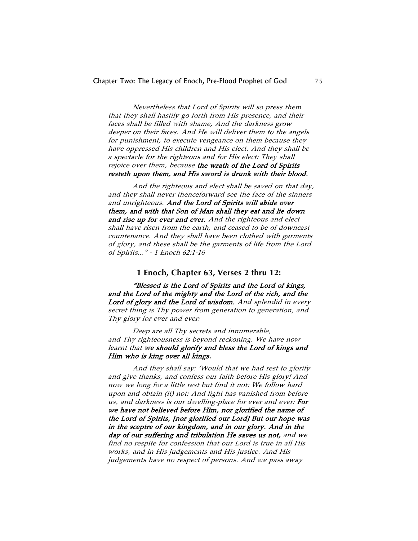Nevertheless that Lord of Spirits will so press them that they shall hastily go forth from His presence, and their faces shall be filled with shame, And the darkness grow deeper on their faces. And He will deliver them to the angels for punishment, to execute vengeance on them because they have oppressed His children and His elect. And they shall be a spectacle for the righteous and for His elect: They shall rejoice over them, because the wrath of the Lord of Spirits resteth upon them, and His sword is drunk with their blood.

And the righteous and elect shall be saved on that day, and they shall never thenceforward see the face of the sinners and unrighteous. And the Lord of Spirits will abide over them, and with that Son of Man shall they eat and lie down and rise up for ever and ever. And the righteous and elect shall have risen from the earth, and ceased to be of downcast countenance. And they shall have been clothed with garments of glory, and these shall be the garments of life from the Lord of Spirits…" - 1 Enoch 62:1-16

#### **1 Enoch, Chapter 63, Verses 2 thru 12:**

"Blessed is the Lord of Spirits and the Lord of kings, and the Lord of the mighty and the Lord of the rich, and the Lord of glory and the Lord of wisdom. And splendid in every secret thing is Thy power from generation to generation, and Thy glory for ever and ever:

Deep are all Thy secrets and innumerable, and Thy righteousness is beyond reckoning. We have now learnt that we should glorify and bless the Lord of kings and Him who is king over all kings.

And they shall say: 'Would that we had rest to glorify and give thanks, and confess our faith before His glory! And now we long for a little rest but find it not: We follow hard upon and obtain (it) not: And light has vanished from before us, and darkness is our dwelling-place for ever and ever: For we have not believed before Him, nor glorified the name of the Lord of Spirits, [nor glorified our Lord] But our hope was in the sceptre of our kingdom, and in our glory. And in the day of our suffering and tribulation He saves us not, and we find no respite for confession that our Lord is true in all His works, and in His judgements and His justice. And His judgements have no respect of persons. And we pass away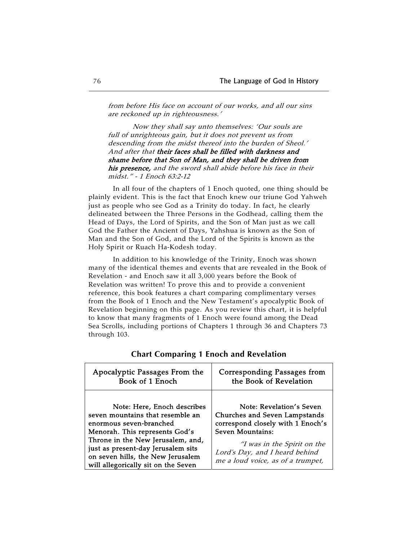from before His face on account of our works, and all our sins are reckoned up in righteousness.'

Now they shall say unto themselves: 'Our souls are full of unrighteous gain, but it does not prevent us from descending from the midst thereof into the burden of Sheol.' And after that their faces shall be filled with darkness and shame before that Son of Man, and they shall be driven from his presence, and the sword shall abide before his face in their midst." - 1 Enoch 63:2-12

In all four of the chapters of 1 Enoch quoted, one thing should be plainly evident. This is the fact that Enoch knew our triune God Yahweh just as people who see God as a Trinity do today. In fact, he clearly delineated between the Three Persons in the Godhead, calling them the Head of Days, the Lord of Spirits, and the Son of Man just as we call God the Father the Ancient of Days, Yahshua is known as the Son of Man and the Son of God, and the Lord of the Spirits is known as the Holy Spirit or Ruach Ha-Kodesh today.

In addition to his knowledge of the Trinity, Enoch was shown many of the identical themes and events that are revealed in the Book of Revelation - and Enoch saw it all 3,000 years before the Book of Revelation was written! To prove this and to provide a convenient reference, this book features a chart comparing complimentary verses from the Book of 1 Enoch and the New Testament's apocalyptic Book of Revelation beginning on this page. As you review this chart, it is helpful to know that many fragments of 1 Enoch were found among the Dead Sea Scrolls, including portions of Chapters 1 through 36 and Chapters 73 through 103.

| Apocalyptic Passages From the                                                                                                                                                                                                                                                       | <b>Corresponding Passages from</b>                                                                                                                                                                                       |
|-------------------------------------------------------------------------------------------------------------------------------------------------------------------------------------------------------------------------------------------------------------------------------------|--------------------------------------------------------------------------------------------------------------------------------------------------------------------------------------------------------------------------|
| Book of 1 Enoch                                                                                                                                                                                                                                                                     | the Book of Revelation                                                                                                                                                                                                   |
| Note: Here, Enoch describes<br>seven mountains that resemble an<br>enormous seven-branched<br>Menorah. This represents God's<br>Throne in the New Jerusalem, and,<br>just as present-day Jerusalem sits<br>on seven hills, the New Jerusalem<br>will allegorically sit on the Seven | Note: Revelation's Seven<br>Churches and Seven Lampstands<br>correspond closely with 1 Enoch's<br>Seven Mountains:<br>"I was in the Spirit on the<br>Lord's Day, and I heard behind<br>me a loud voice, as of a trumpet, |

**Chart Comparing 1 Enoch and Revelation**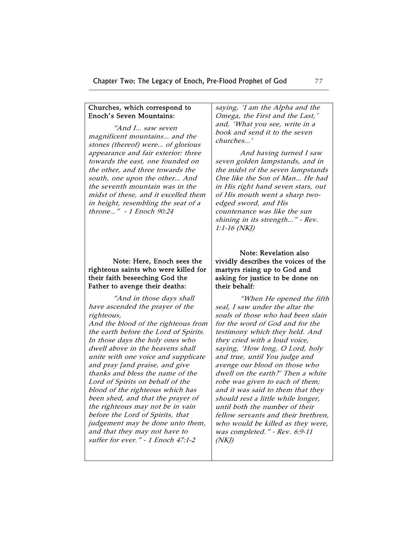### Churches, which correspond to Enoch's Seven Mountains:

"And I… saw seven magnificent mountains… and the stones (thereof) were… of glorious appearance and fair exterior: three towards the east, one founded on the other, and three towards the south, one upon the other… And the seventh mountain was in the midst of these, and it excelled them in height, resembling the seat of a throne…" - 1 Enoch 90:24

# Note: Here, Enoch sees the righteous saints who were killed for their faith beseeching God the Father to avenge their deaths:

"And in those days shall have ascended the prayer of the righteous,

And the blood of the righteous from the earth before the Lord of Spirits. In those days the holy ones who dwell above in the heavens shall unite with one voice and supplicate and pray [and praise, and give thanks and bless the name of the Lord of Spirits on behalf of the blood of the righteous which has been shed, and that the prayer of the righteous may not be in vain before the Lord of Spirits, that judgement may be done unto them, and that they may not have to suffer for ever." - 1 Enoch 47:1-2

saying, 'I am the Alpha and the Omega, the First and the Last,' and, 'What you see, write in a book and send it to the seven churches…'

And having turned I saw seven golden lampstands, and in the midst of the seven lampstands One like the Son of Man… He had in His right hand seven stars, out of His mouth went a sharp twoedged sword, and His countenance was like the sun shining in its strength…" - Rev. 1:1-16 (NKJ)

# Note: Revelation also vividly describes the voices of the martyrs rising up to God and asking for justice to be done on their behalf:

"When He opened the fifth seal, I saw under the altar the souls of those who had been slain for the word of God and for the testimony which they held. And they cried with a loud voice, saying, 'How long, O Lord, holy and true, until You judge and avenge our blood on those who dwell on the earth?' Then a white robe was given to each of them; and it was said to them that they should rest a little while longer, until both the number of their fellow servants and their brethren, who would be killed as they were, was completed." - Rev. 6:9-11  $(NKJ)$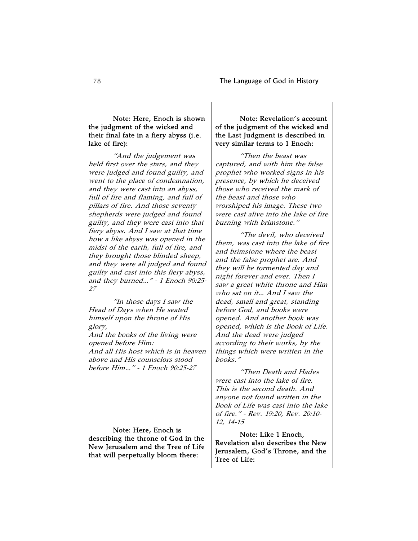## Note: Here, Enoch is shown the judgment of the wicked and their final fate in a fiery abyss (i.e. lake of fire):

"And the judgement was held first over the stars, and they were judged and found guilty, and went to the place of condemnation, and they were cast into an abyss, full of fire and flaming, and full of pillars of fire. And those seventy shepherds were judged and found guilty, and they were cast into that fiery abyss. And I saw at that time how a like abyss was opened in the midst of the earth, full of fire, and they brought those blinded sheep, and they were all judged and found guilty and cast into this fiery abyss, and they burned…" - 1 Enoch 90:25- 27

"In those days I saw the Head of Days when He seated himself upon the throne of His glory,

And the books of the living were opened before Him: And all His host which is in heaven above and His counselors stood before Him…" - 1 Enoch 90:25-27

Note: Here, Enoch is describing the throne of God in the New Jerusalem and the Tree of Life that will perpetually bloom there:

## Note: Revelation's account of the judgment of the wicked and the Last Judgment is described in very similar terms to 1 Enoch:

"Then the beast was captured, and with him the false prophet who worked signs in his presence, by which he deceived those who received the mark of the beast and those who worshiped his image. These two were cast alive into the lake of fire burning with brimstone."

"The devil, who deceived them, was cast into the lake of fire and brimstone where the beast and the false prophet are. And they will be tormented day and night forever and ever. Then I saw a great white throne and Him who sat on it… And I saw the dead, small and great, standing before God, and books were opened. And another book was opened, which is the Book of Life. And the dead were judged according to their works, by the things which were written in the books."

"Then Death and Hades were cast into the lake of fire. This is the second death. And anyone not found written in the Book of Life was cast into the lake of fire." - Rev. 19:20, Rev. 20:10- 12, 14-15

Note: Like 1 Enoch, Revelation also describes the New Jerusalem, God's Throne, and the Tree of Life: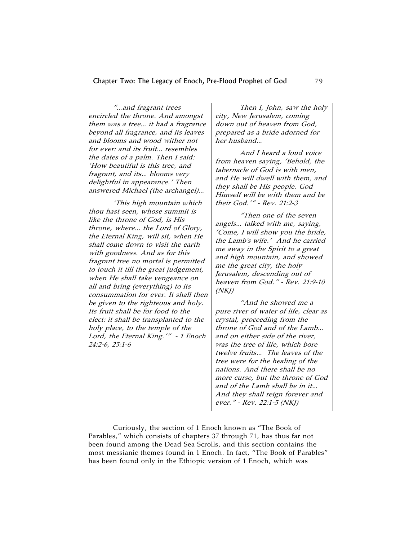| "and fragrant trees                    | Then I, John, saw the holy                                          |
|----------------------------------------|---------------------------------------------------------------------|
| encircled the throne. And amongst      | city, New Jerusalem, coming                                         |
| them was a tree it had a fragrance     | down out of heaven from God,                                        |
| beyond all fragrance, and its leaves   | prepared as a bride adorned for                                     |
| and blooms and wood wither not         | her husband                                                         |
| for ever: and its fruit resembles      | And I heard a loud voice                                            |
| the dates of a palm. Then I said:      | from heaven saying, 'Behold, the                                    |
| 'How beautiful is this tree, and       | tabernacle of God is with men,                                      |
| fragrant, and its blooms very          | and He will dwell with them, and                                    |
| delightful in appearance.' Then        | they shall be His people. God                                       |
| answered Michael (the archangel)       | Himself will be with them and be                                    |
| 'This high mountain which              | their God.'" - Rev. 21:2-3                                          |
| thou hast seen, whose summit is        | "Then one of the seven                                              |
| like the throne of God, is His         | angels talked with me, saying,                                      |
| throne, where the Lord of Glory,       | 'Come, I will show you the bride,                                   |
| the Eternal King, will sit, when He    | the Lamb's wife.' And he carried                                    |
| shall come down to visit the earth     | me away in the Spirit to a great                                    |
| with goodness. And as for this         | and high mountain, and showed                                       |
| fragrant tree no mortal is permitted   | me the great city, the holy                                         |
| to touch it till the great judgement,  | Jerusalem, descending out of                                        |
| when He shall take vengeance on        | heaven from God." - Rev. 21:9-10                                    |
| all and bring (everything) to its      | (NKJ)                                                               |
| consummation for ever. It shall then   | "And he showed me a                                                 |
| be given to the righteous and holy.    |                                                                     |
| Its fruit shall be for food to the     | pure river of water of life, clear as                               |
| elect: it shall be transplanted to the | crystal, proceeding from the                                        |
| holy place, to the temple of the       | throne of God and of the Lamb                                       |
| Lord, the Eternal King.'" - 1 Enoch    | and on either side of the river,                                    |
| 24:2-6, 25:1-6                         | was the tree of life, which bore                                    |
|                                        | twelve fruits The leaves of the                                     |
|                                        | tree were for the healing of the                                    |
|                                        | nations. And there shall be no<br>more curse, but the throne of God |
|                                        |                                                                     |
|                                        | and of the Lamb shall be in it                                      |
|                                        | And they shall reign forever and                                    |
|                                        | ever." - Rev. 22:1-5 (NKJ)                                          |

Curiously, the section of 1 Enoch known as "The Book of Parables," which consists of chapters 37 through 71, has thus far not been found among the Dead Sea Scrolls, and this section contains the most messianic themes found in 1 Enoch. In fact, "The Book of Parables" has been found only in the Ethiopic version of 1 Enoch, which was